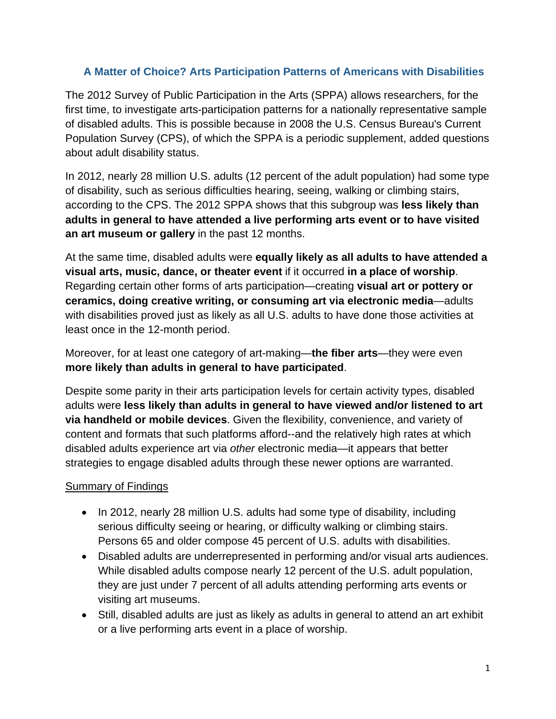# **A Matter of Choice? Arts Participation Patterns of Americans with Disabilities**

The 2012 Survey of Public Participation in the Arts (SPPA) allows researchers, for the first time, to investigate arts-participation patterns for a nationally representative sample of disabled adults. This is possible because in 2008 the U.S. Census Bureau's Current Population Survey (CPS), of which the SPPA is a periodic supplement, added questions about adult disability status.

In 2012, nearly 28 million U.S. adults (12 percent of the adult population) had some type of disability, such as serious difficulties hearing, seeing, walking or climbing stairs, according to the CPS. The 2012 SPPA shows that this subgroup was **less likely than adults in general to have attended a live performing arts event or to have visited an art museum or gallery** in the past 12 months.

At the same time, disabled adults were **equally likely as all adults to have attended a visual arts, music, dance, or theater event** if it occurred **in a place of worship**. Regarding certain other forms of arts participation—creating **visual art or pottery or ceramics, doing creative writing, or consuming art via electronic media**—adults with disabilities proved just as likely as all U.S. adults to have done those activities at least once in the 12-month period.

Moreover, for at least one category of art-making—**the fiber arts**—they were even **more likely than adults in general to have participated**.

Despite some parity in their arts participation levels for certain activity types, disabled adults were **less likely than adults in general to have viewed and/or listened to art via handheld or mobile devices**. Given the flexibility, convenience, and variety of content and formats that such platforms afford--and the relatively high rates at which disabled adults experience art via *other* electronic media—it appears that better strategies to engage disabled adults through these newer options are warranted.

#### Summary of Findings

- In 2012, nearly 28 million U.S. adults had some type of disability, including serious difficulty seeing or hearing, or difficulty walking or climbing stairs. Persons 65 and older compose 45 percent of U.S. adults with disabilities.
- Disabled adults are underrepresented in performing and/or visual arts audiences. While disabled adults compose nearly 12 percent of the U.S. adult population, they are just under 7 percent of all adults attending performing arts events or visiting art museums.
- Still, disabled adults are just as likely as adults in general to attend an art exhibit or a live performing arts event in a place of worship.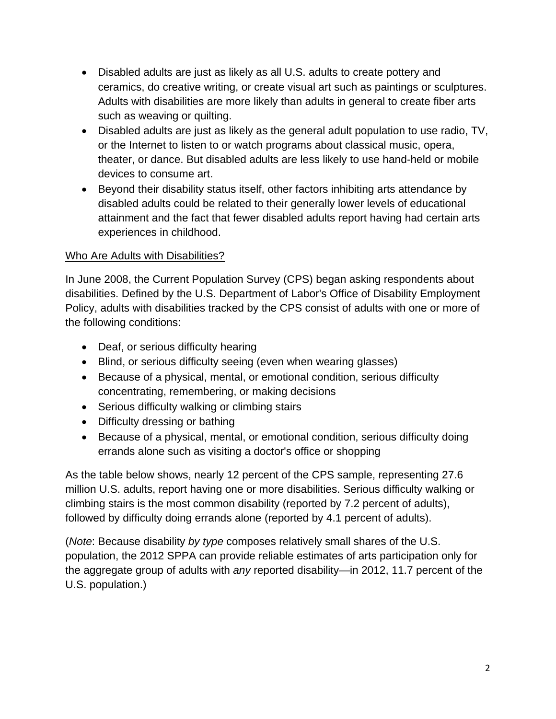- Disabled adults are just as likely as all U.S. adults to create pottery and ceramics, do creative writing, or create visual art such as paintings or sculptures. Adults with disabilities are more likely than adults in general to create fiber arts such as weaving or quilting.
- Disabled adults are just as likely as the general adult population to use radio, TV, or the Internet to listen to or watch programs about classical music, opera, theater, or dance. But disabled adults are less likely to use hand-held or mobile devices to consume art.
- Beyond their disability status itself, other factors inhibiting arts attendance by disabled adults could be related to their generally lower levels of educational attainment and the fact that fewer disabled adults report having had certain arts experiences in childhood.

## Who Are Adults with Disabilities?

In June 2008, the Current Population Survey (CPS) began asking respondents about disabilities. Defined by the U.S. Department of Labor's Office of Disability Employment Policy, adults with disabilities tracked by the CPS consist of adults with one or more of the following conditions:

- Deaf, or serious difficulty hearing
- Blind, or serious difficulty seeing (even when wearing glasses)
- Because of a physical, mental, or emotional condition, serious difficulty concentrating, remembering, or making decisions
- Serious difficulty walking or climbing stairs
- Difficulty dressing or bathing
- Because of a physical, mental, or emotional condition, serious difficulty doing errands alone such as visiting a doctor's office or shopping

As the table below shows, nearly 12 percent of the CPS sample, representing 27.6 million U.S. adults, report having one or more disabilities. Serious difficulty walking or climbing stairs is the most common disability (reported by 7.2 percent of adults), followed by difficulty doing errands alone (reported by 4.1 percent of adults).

(*Note*: Because disability *by type* composes relatively small shares of the U.S. population, the 2012 SPPA can provide reliable estimates of arts participation only for the aggregate group of adults with *any* reported disability—in 2012, 11.7 percent of the U.S. population.)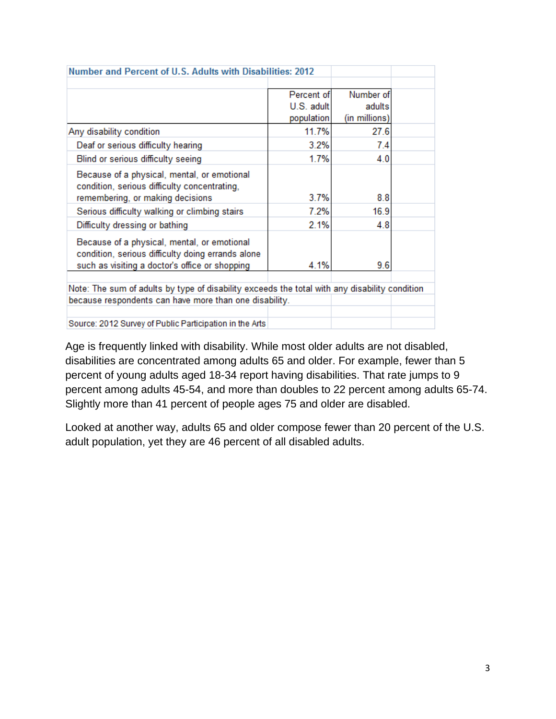| Number and Percent of U.S. Adults with Disabilities: 2012                                                                                          |            |               |  |  |  |  |
|----------------------------------------------------------------------------------------------------------------------------------------------------|------------|---------------|--|--|--|--|
|                                                                                                                                                    |            |               |  |  |  |  |
|                                                                                                                                                    | Percent of | Number of     |  |  |  |  |
|                                                                                                                                                    | U.S. adult | adults        |  |  |  |  |
|                                                                                                                                                    | population | (in millions) |  |  |  |  |
| Any disability condition                                                                                                                           | 11.7%      | 27.6          |  |  |  |  |
| Deaf or serious difficulty hearing                                                                                                                 | 3.2%       | 7.4           |  |  |  |  |
| Blind or serious difficulty seeing                                                                                                                 | 1.7%       | 4.0           |  |  |  |  |
| Because of a physical, mental, or emotional<br>condition, serious difficulty concentrating,                                                        |            |               |  |  |  |  |
| remembering, or making decisions                                                                                                                   | 3.7%       | 8.8           |  |  |  |  |
| Serious difficulty walking or climbing stairs                                                                                                      | 7.2%       | 16.9          |  |  |  |  |
| Difficulty dressing or bathing                                                                                                                     | 2.1%       | 4.8           |  |  |  |  |
| Because of a physical, mental, or emotional<br>condition, serious difficulty doing errands alone<br>such as visiting a doctor's office or shopping | 4.1%       | 9.6           |  |  |  |  |
|                                                                                                                                                    |            |               |  |  |  |  |
| Note: The sum of adults by type of disability exceeds the total with any disability condition                                                      |            |               |  |  |  |  |
| because respondents can have more than one disability.                                                                                             |            |               |  |  |  |  |
|                                                                                                                                                    |            |               |  |  |  |  |
| Source: 2012 Survey of Public Participation in the Arts                                                                                            |            |               |  |  |  |  |

Age is frequently linked with disability. While most older adults are not disabled, disabilities are concentrated among adults 65 and older. For example, fewer than 5 percent of young adults aged 18-34 report having disabilities. That rate jumps to 9 percent among adults 45-54, and more than doubles to 22 percent among adults 65-74. Slightly more than 41 percent of people ages 75 and older are disabled.

Looked at another way, adults 65 and older compose fewer than 20 percent of the U.S. adult population, yet they are 46 percent of all disabled adults.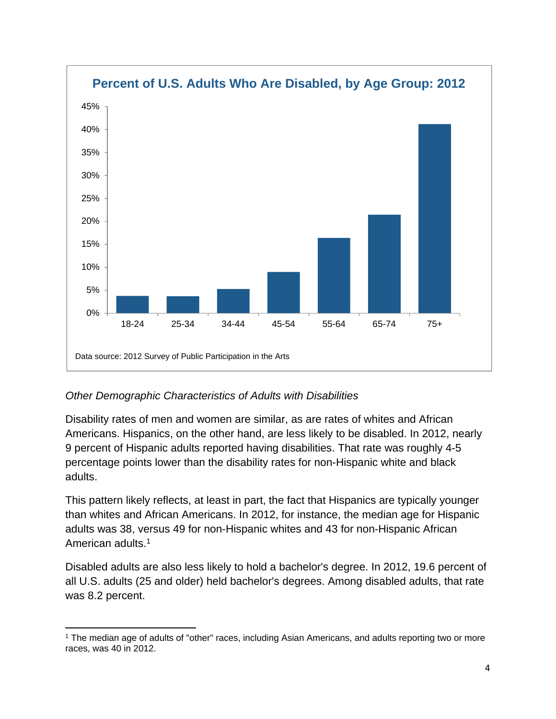

# *Other Demographic Characteristics of Adults with Disabilities*

Disability rates of men and women are similar, as are rates of whites and African Americans. Hispanics, on the other hand, are less likely to be disabled. In 2012, nearly 9 percent of Hispanic adults reported having disabilities. That rate was roughly 4-5 percentage points lower than the disability rates for non-Hispanic white and black adults.

This pattern likely reflects, at least in part, the fact that Hispanics are typically younger than whites and African Americans. In 2012, for instance, the median age for Hispanic adults was 38, versus 49 for non-Hispanic whites and 43 for non-Hispanic African American adults.<sup>1</sup>

Disabled adults are also less likely to hold a bachelor's degree. In 2012, 19.6 percent of all U.S. adults (25 and older) held bachelor's degrees. Among disabled adults, that rate was 8.2 percent.

 1 The median age of adults of "other" races, including Asian Americans, and adults reporting two or more races, was 40 in 2012.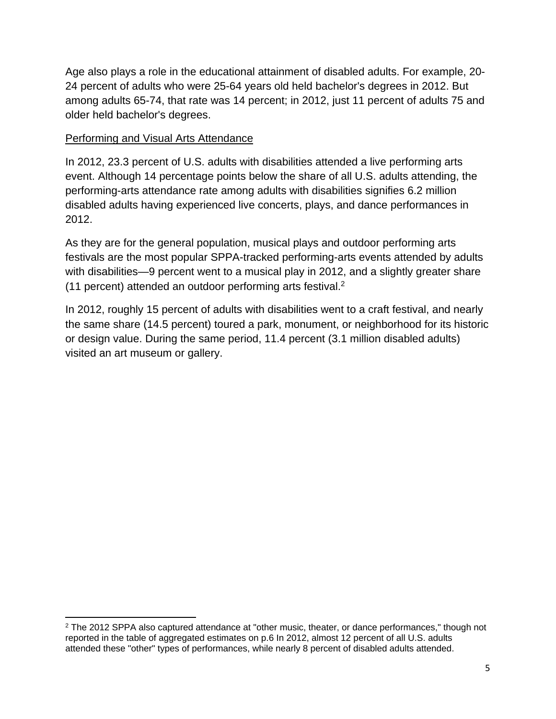Age also plays a role in the educational attainment of disabled adults. For example, 20- 24 percent of adults who were 25-64 years old held bachelor's degrees in 2012. But among adults 65-74, that rate was 14 percent; in 2012, just 11 percent of adults 75 and older held bachelor's degrees.

#### Performing and Visual Arts Attendance

In 2012, 23.3 percent of U.S. adults with disabilities attended a live performing arts event. Although 14 percentage points below the share of all U.S. adults attending, the performing-arts attendance rate among adults with disabilities signifies 6.2 million disabled adults having experienced live concerts, plays, and dance performances in 2012.

As they are for the general population, musical plays and outdoor performing arts festivals are the most popular SPPA-tracked performing-arts events attended by adults with disabilities—9 percent went to a musical play in 2012, and a slightly greater share (11 percent) attended an outdoor performing arts festival.2

In 2012, roughly 15 percent of adults with disabilities went to a craft festival, and nearly the same share (14.5 percent) toured a park, monument, or neighborhood for its historic or design value. During the same period, 11.4 percent (3.1 million disabled adults) visited an art museum or gallery.

  $2$  The 2012 SPPA also captured attendance at "other music, theater, or dance performances," though not reported in the table of aggregated estimates on p.6 In 2012, almost 12 percent of all U.S. adults attended these "other" types of performances, while nearly 8 percent of disabled adults attended.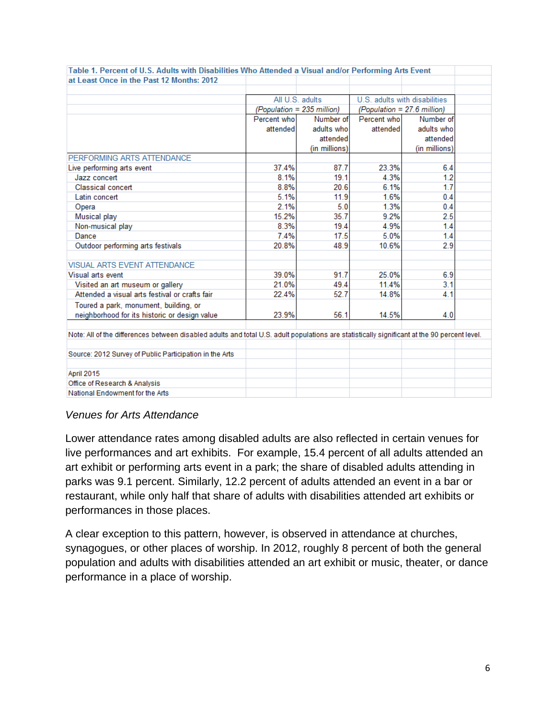| Table 1. Percent of U.S. Adults with Disabilities Who Attended a Visual and/or Performing Arts Event                                         |                            |                          |                             |                               |  |
|----------------------------------------------------------------------------------------------------------------------------------------------|----------------------------|--------------------------|-----------------------------|-------------------------------|--|
| at Least Once in the Past 12 Months: 2012                                                                                                    |                            |                          |                             |                               |  |
|                                                                                                                                              |                            |                          |                             |                               |  |
|                                                                                                                                              |                            | All U.S. adults          |                             | U.S. adults with disabilities |  |
|                                                                                                                                              | (Population = 235 million) |                          | (Population = 27.6 million) |                               |  |
|                                                                                                                                              | Percent who                | Number of<br>Percent who |                             | Number of                     |  |
|                                                                                                                                              | attended                   | adults who               | attended                    | adults who                    |  |
|                                                                                                                                              |                            | attended                 |                             | attended                      |  |
|                                                                                                                                              |                            | (in millions)            |                             | (in millions)                 |  |
| PERFORMING ARTS ATTENDANCE                                                                                                                   |                            |                          |                             |                               |  |
| Live performing arts event                                                                                                                   | 37.4%                      | 87.7                     | 23.3%                       | 6.4                           |  |
| Jazz concert                                                                                                                                 | 8.1%                       | 19.1                     | 4.3%                        | 1.2                           |  |
| <b>Classical concert</b>                                                                                                                     | 8.8%                       | 20.6                     | 6.1%                        | 1.7                           |  |
| Latin concert                                                                                                                                | 5.1%                       | 11.9                     | 1.6%                        | 0.4                           |  |
| Opera                                                                                                                                        | 2.1%                       | 5.0                      | 1.3%                        | 0.4                           |  |
| Musical play                                                                                                                                 | 15.2%                      | 35.7                     | 9.2%                        | 2.5                           |  |
| Non-musical play                                                                                                                             | 8.3%                       | 19.4                     | 4.9%                        | 1.4                           |  |
| Dance                                                                                                                                        | 7.4%                       | 17.5                     | 5.0%                        | 1.4                           |  |
| Outdoor performing arts festivals                                                                                                            | 20.8%                      | 48.9                     | 10.6%                       | 2.9                           |  |
|                                                                                                                                              |                            |                          |                             |                               |  |
| <b>VISUAL ARTS EVENT ATTENDANCE</b>                                                                                                          |                            |                          |                             |                               |  |
| Visual arts event                                                                                                                            | 39.0%                      | 91.7                     | 25.0%                       | 6.9                           |  |
| Visited an art museum or gallery                                                                                                             | 21.0%                      | 49.4                     | 11.4%                       | 3.1                           |  |
| Attended a visual arts festival or crafts fair                                                                                               | 22.4%                      | 52.7                     | 14.8%                       | 4.1                           |  |
| Toured a park, monument, building, or                                                                                                        |                            |                          |                             |                               |  |
| neighborhood for its historic or design value                                                                                                | 23.9%                      | 56.1                     | 14.5%                       | 4.0                           |  |
|                                                                                                                                              |                            |                          |                             |                               |  |
| Note: All of the differences between disabled adults and total U.S. adult populations are statistically significant at the 90 percent level. |                            |                          |                             |                               |  |
|                                                                                                                                              |                            |                          |                             |                               |  |
| Source: 2012 Survey of Public Participation in the Arts                                                                                      |                            |                          |                             |                               |  |
|                                                                                                                                              |                            |                          |                             |                               |  |
| April 2015                                                                                                                                   |                            |                          |                             |                               |  |
| Office of Research & Analysis                                                                                                                |                            |                          |                             |                               |  |
| National Endowment for the Arts                                                                                                              |                            |                          |                             |                               |  |

#### *Venues for Arts Attendance*

Lower attendance rates among disabled adults are also reflected in certain venues for live performances and art exhibits. For example, 15.4 percent of all adults attended an art exhibit or performing arts event in a park; the share of disabled adults attending in parks was 9.1 percent. Similarly, 12.2 percent of adults attended an event in a bar or restaurant, while only half that share of adults with disabilities attended art exhibits or performances in those places.

A clear exception to this pattern, however, is observed in attendance at churches, synagogues, or other places of worship. In 2012, roughly 8 percent of both the general population and adults with disabilities attended an art exhibit or music, theater, or dance performance in a place of worship.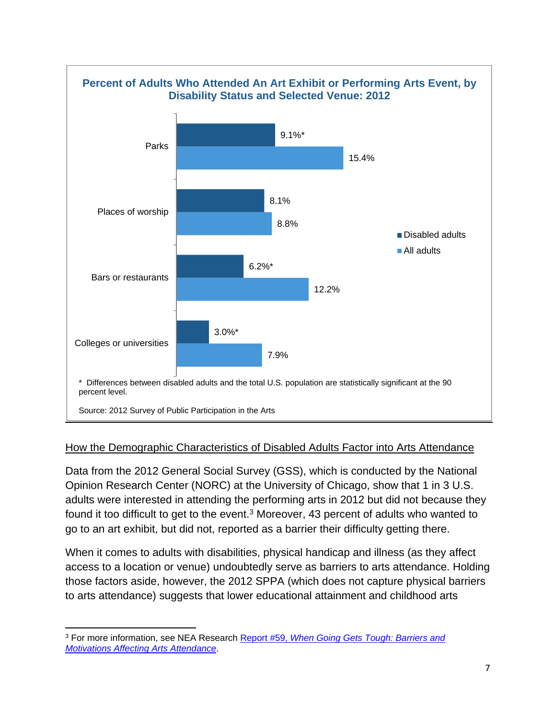

#### How the Demographic Characteristics of Disabled Adults Factor into Arts Attendance

Data from the 2012 General Social Survey (GSS), which is conducted by the National Opinion Research Center (NORC) at the University of Chicago, show that 1 in 3 U.S. adults were interested in attending the performing arts in 2012 but did not because they found it too difficult to get to the event.<sup>3</sup> Moreover, 43 percent of adults who wanted to go to an art exhibit, but did not, reported as a barrier their difficulty getting there.

When it comes to adults with disabilities, physical handicap and illness (as they affect access to a location or venue) undoubtedly serve as barriers to arts attendance. Holding those factors aside, however, the 2012 SPPA (which does not capture physical barriers to arts attendance) suggests that lower educational attainment and childhood arts

 3 For more information, see NEA Research Report #59, *When Going Gets Tough: Barriers and Motivations Affecting Arts Attendance*.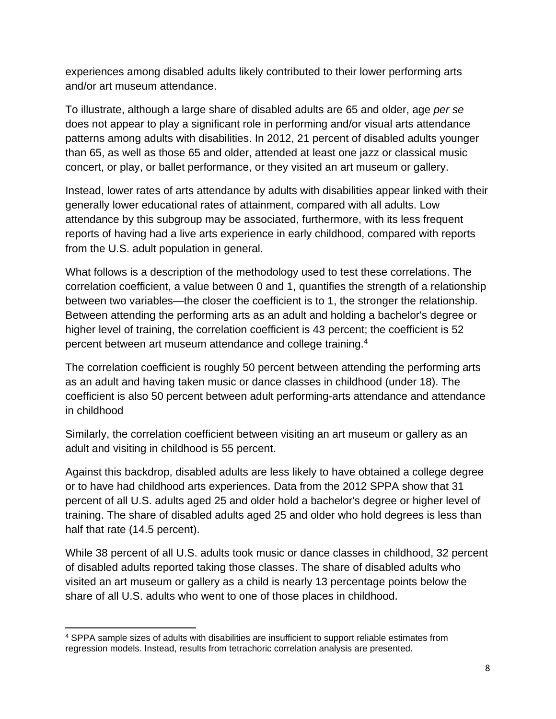experiences among disabled adults likely contributed to their lower performing arts and/or art museum attendance.

To illustrate, although a large share of disabled adults are 65 and older, age *per se* does not appear to play a significant role in performing and/or visual arts attendance patterns among adults with disabilities. In 2012, 21 percent of disabled adults younger than 65, as well as those 65 and older, attended at least one jazz or classical music concert, or play, or ballet performance, or they visited an art museum or gallery.

Instead, lower rates of arts attendance by adults with disabilities appear linked with their generally lower educational rates of attainment, compared with all adults. Low attendance by this subgroup may be associated, furthermore, with its less frequent reports of having had a live arts experience in early childhood, compared with reports from the U.S. adult population in general.

What follows is a description of the methodology used to test these correlations. The correlation coefficient, a value between 0 and 1, quantifies the strength of a relationship between two variables—the closer the coefficient is to 1, the stronger the relationship. Between attending the performing arts as an adult and holding a bachelor's degree or higher level of training, the correlation coefficient is 43 percent; the coefficient is 52 percent between art museum attendance and college training.4

The correlation coefficient is roughly 50 percent between attending the performing arts as an adult and having taken music or dance classes in childhood (under 18). The coefficient is also 50 percent between adult performing-arts attendance and attendance in childhood

Similarly, the correlation coefficient between visiting an art museum or gallery as an adult and visiting in childhood is 55 percent.

Against this backdrop, disabled adults are less likely to have obtained a college degree or to have had childhood arts experiences. Data from the 2012 SPPA show that 31 percent of all U.S. adults aged 25 and older hold a bachelor's degree or higher level of training. The share of disabled adults aged 25 and older who hold degrees is less than half that rate (14.5 percent).

While 38 percent of all U.S. adults took music or dance classes in childhood, 32 percent of disabled adults reported taking those classes. The share of disabled adults who visited an art museum or gallery as a child is nearly 13 percentage points below the share of all U.S. adults who went to one of those places in childhood.

 4 SPPA sample sizes of adults with disabilities are insufficient to support reliable estimates from regression models. Instead, results from tetrachoric correlation analysis are presented.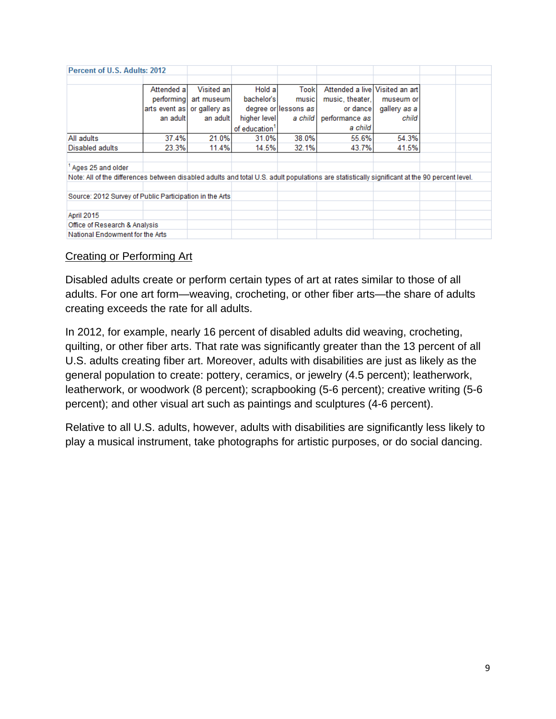| Percent of U.S. Adults: 2012                                                                                                                 |             |                             |                           |                      |                                |              |  |  |
|----------------------------------------------------------------------------------------------------------------------------------------------|-------------|-----------------------------|---------------------------|----------------------|--------------------------------|--------------|--|--|
|                                                                                                                                              |             |                             |                           |                      |                                |              |  |  |
|                                                                                                                                              | Attended al | Visited an                  | Hold a                    | Took                 | Attended a live Visited an art |              |  |  |
|                                                                                                                                              | performing  | art museum                  | bachelor's                | music                | music, theater,                | museum or    |  |  |
|                                                                                                                                              |             | arts event as or gallery as |                           | degree or lessons as | or dance                       | gallery as a |  |  |
|                                                                                                                                              | an adult    | an adult                    | higher level              | a child              | performance as                 | child        |  |  |
|                                                                                                                                              |             |                             | of education <sup>1</sup> |                      | a child                        |              |  |  |
| All adults                                                                                                                                   | 37.4%       | 21.0%                       | 31.0%                     | 38.0%                | 55.6%                          | 54.3%        |  |  |
| Disabled adults                                                                                                                              | 23.3%       | 11.4%                       | 14.5%                     | 32.1%                | 43.7%                          | 41.5%        |  |  |
|                                                                                                                                              |             |                             |                           |                      |                                |              |  |  |
| Ages 25 and older                                                                                                                            |             |                             |                           |                      |                                |              |  |  |
| Note: All of the differences between disabled adults and total U.S. adult populations are statistically significant at the 90 percent level. |             |                             |                           |                      |                                |              |  |  |
|                                                                                                                                              |             |                             |                           |                      |                                |              |  |  |
| Source: 2012 Survey of Public Participation in the Arts                                                                                      |             |                             |                           |                      |                                |              |  |  |
|                                                                                                                                              |             |                             |                           |                      |                                |              |  |  |
| <b>April 2015</b>                                                                                                                            |             |                             |                           |                      |                                |              |  |  |
| Office of Research & Analysis                                                                                                                |             |                             |                           |                      |                                |              |  |  |
| National Endowment for the Arts                                                                                                              |             |                             |                           |                      |                                |              |  |  |

#### Creating or Performing Art

Disabled adults create or perform certain types of art at rates similar to those of all adults. For one art form—weaving, crocheting, or other fiber arts—the share of adults creating exceeds the rate for all adults.

In 2012, for example, nearly 16 percent of disabled adults did weaving, crocheting, quilting, or other fiber arts. That rate was significantly greater than the 13 percent of all U.S. adults creating fiber art. Moreover, adults with disabilities are just as likely as the general population to create: pottery, ceramics, or jewelry (4.5 percent); leatherwork, leatherwork, or woodwork (8 percent); scrapbooking (5-6 percent); creative writing (5-6 percent); and other visual art such as paintings and sculptures (4-6 percent).

Relative to all U.S. adults, however, adults with disabilities are significantly less likely to play a musical instrument, take photographs for artistic purposes, or do social dancing.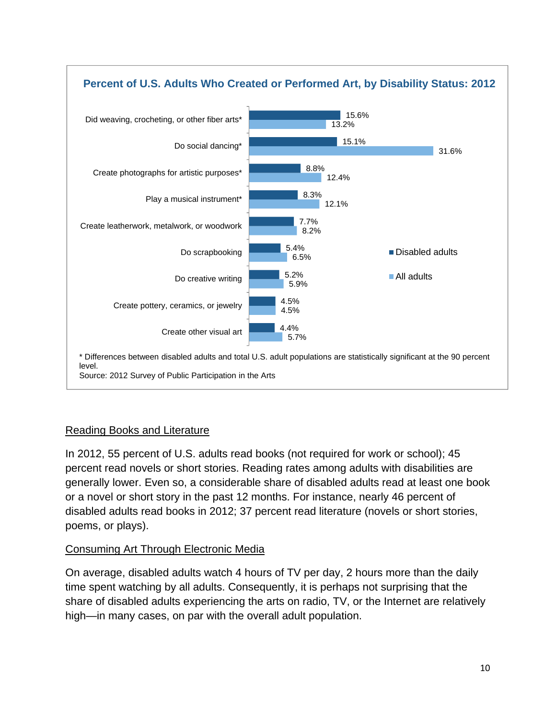

# Reading Books and Literature

In 2012, 55 percent of U.S. adults read books (not required for work or school); 45 percent read novels or short stories. Reading rates among adults with disabilities are generally lower. Even so, a considerable share of disabled adults read at least one book or a novel or short story in the past 12 months. For instance, nearly 46 percent of disabled adults read books in 2012; 37 percent read literature (novels or short stories, poems, or plays).

#### Consuming Art Through Electronic Media

On average, disabled adults watch 4 hours of TV per day, 2 hours more than the daily time spent watching by all adults. Consequently, it is perhaps not surprising that the share of disabled adults experiencing the arts on radio, TV, or the Internet are relatively high—in many cases, on par with the overall adult population.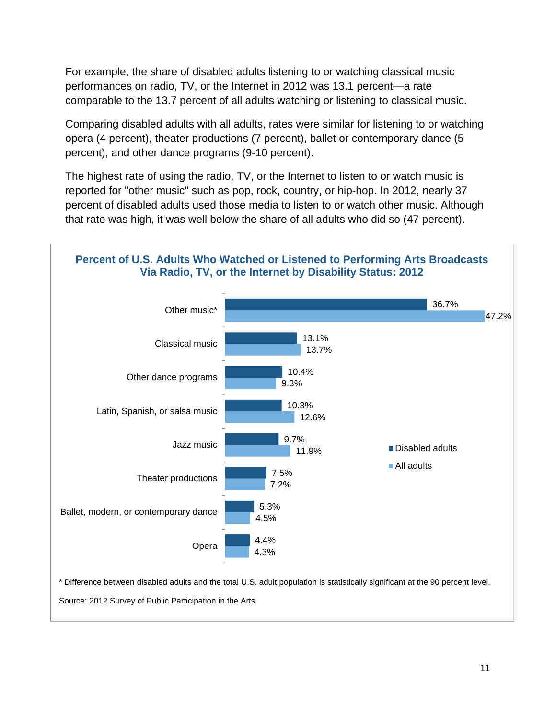For example, the share of disabled adults listening to or watching classical music performances on radio, TV, or the Internet in 2012 was 13.1 percent—a rate comparable to the 13.7 percent of all adults watching or listening to classical music.

Comparing disabled adults with all adults, rates were similar for listening to or watching opera (4 percent), theater productions (7 percent), ballet or contemporary dance (5 percent), and other dance programs (9-10 percent).

The highest rate of using the radio, TV, or the Internet to listen to or watch music is reported for "other music" such as pop, rock, country, or hip-hop. In 2012, nearly 37 percent of disabled adults used those media to listen to or watch other music. Although that rate was high, it was well below the share of all adults who did so (47 percent).



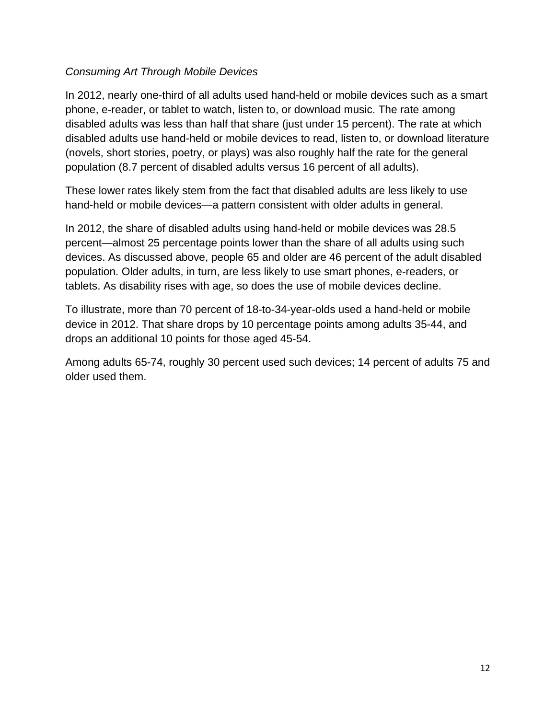### *Consuming Art Through Mobile Devices*

In 2012, nearly one-third of all adults used hand-held or mobile devices such as a smart phone, e-reader, or tablet to watch, listen to, or download music. The rate among disabled adults was less than half that share (just under 15 percent). The rate at which disabled adults use hand-held or mobile devices to read, listen to, or download literature (novels, short stories, poetry, or plays) was also roughly half the rate for the general population (8.7 percent of disabled adults versus 16 percent of all adults).

These lower rates likely stem from the fact that disabled adults are less likely to use hand-held or mobile devices—a pattern consistent with older adults in general.

In 2012, the share of disabled adults using hand-held or mobile devices was 28.5 percent—almost 25 percentage points lower than the share of all adults using such devices. As discussed above, people 65 and older are 46 percent of the adult disabled population. Older adults, in turn, are less likely to use smart phones, e-readers, or tablets. As disability rises with age, so does the use of mobile devices decline.

To illustrate, more than 70 percent of 18-to-34-year-olds used a hand-held or mobile device in 2012. That share drops by 10 percentage points among adults 35-44, and drops an additional 10 points for those aged 45-54.

Among adults 65-74, roughly 30 percent used such devices; 14 percent of adults 75 and older used them.